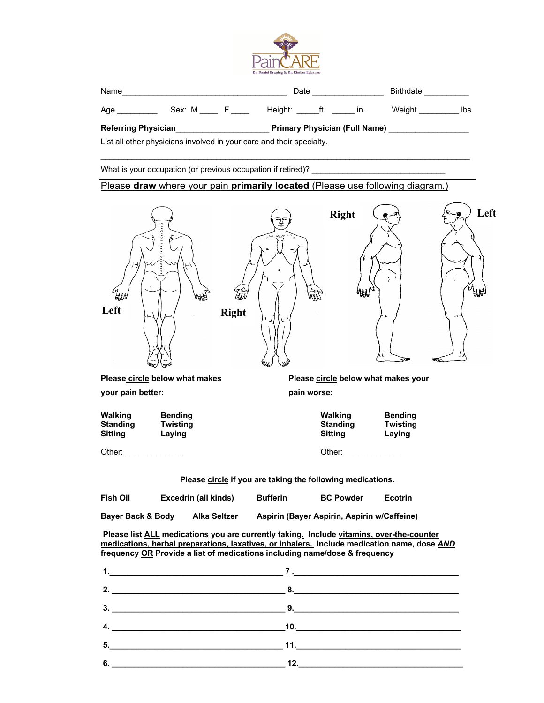

| <b>Referring Physician</b> |        |         |     | <b>Primary Physician (Full Name)</b> |                  |      |
|----------------------------|--------|---------|-----|--------------------------------------|------------------|------|
| Aae                        | Sex: M | Heiaht: | tt. | ın.                                  | Weight           | lbs. |
| Name                       |        | Date    |     |                                      | <b>Birthdate</b> |      |

 $\_$  , and the state of the state of the state of the state of the state of the state of the state of the state of the state of the state of the state of the state of the state of the state of the state of the state of the

List all other physicians involved in your care and their specialty.

What is your occupation (or previous occupation if retired)?

Please **draw** where your pain **primarily located** (Please use following diagram.)



**your pain better: pain worse:**

| <b>Walking</b>  | <b>Bending</b> | Walking         | <b>Bending</b>  |
|-----------------|----------------|-----------------|-----------------|
| <b>Standing</b> | Twisting       | <b>Standing</b> | <b>Twisting</b> |
| <b>Sitting</b>  | Laving         | <b>Sitting</b>  | Laying          |
| Other:          |                | Other:          |                 |

**Please circle if you are taking the following medications.**

| <b>Fish Oil</b><br><b>Excedrin (all kinds)</b> | <b>Bufferin</b> | <b>BC Powder</b> | <b>Ecotrin</b> |
|------------------------------------------------|-----------------|------------------|----------------|
|------------------------------------------------|-----------------|------------------|----------------|

| <b>Bayer Back &amp; Body</b> | Alka Seltzer | Aspirin (Bayer Aspirin, Aspirin w/Caffeine) |  |
|------------------------------|--------------|---------------------------------------------|--|
|------------------------------|--------------|---------------------------------------------|--|

**Please list ALL medications you are currently taking. Include vitamins, over-the-counter medications, herbal preparations, laxatives, or inhalers. Include medication name, dose** *AND* **frequency OR Provide a list of medications including name/dose & frequency**

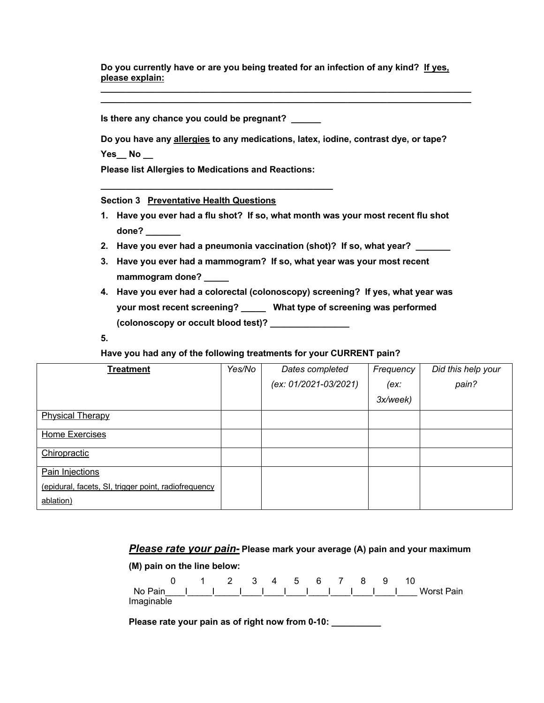**Do you currently have or are you being treated for an infection of any kind? If yes, please explain:** 

**\_\_\_\_\_\_\_\_\_\_\_\_\_\_\_\_\_\_\_\_\_\_\_\_\_\_\_\_\_\_\_\_\_\_\_\_\_\_\_\_\_\_\_\_\_\_\_\_\_\_\_\_\_\_\_\_\_\_\_\_\_\_\_\_\_\_\_\_\_\_\_\_\_\_\_ \_\_\_\_\_\_\_\_\_\_\_\_\_\_\_\_\_\_\_\_\_\_\_\_\_\_\_\_\_\_\_\_\_\_\_\_\_\_\_\_\_\_\_\_\_\_\_\_\_\_\_\_\_\_\_\_\_\_\_\_\_\_\_\_\_\_\_\_\_\_\_\_\_\_\_**

**Is there any chance you could be pregnant? \_\_\_\_\_\_** 

**Do you have any allergies to any medications, latex, iodine, contrast dye, or tape? Yes\_\_ No \_\_**

**Please list Allergies to Medications and Reactions:** 

**\_\_\_\_\_\_\_\_\_\_\_\_\_\_\_\_\_\_\_\_\_\_\_\_\_\_\_\_\_\_\_\_\_\_\_\_\_\_\_\_\_\_\_\_\_\_\_**

**Section 3 Preventative Health Questions**

- **1. Have you ever had a flu shot? If so, what month was your most recent flu shot done? \_\_\_\_\_\_\_**
- **2. Have you ever had a pneumonia vaccination (shot)? If so, what year? \_\_\_\_\_\_\_**
- **3. Have you ever had a mammogram? If so, what year was your most recent**  mammogram done?
- **4. Have you ever had a colorectal (colonoscopy) screening? If yes, what year was your most recent screening? \_\_\_\_\_ What type of screening was performed (colonoscopy or occult blood test)? \_\_\_\_\_\_\_\_\_\_\_\_\_\_\_\_**

**5.**

**Have you had any of the following treatments for your CURRENT pain?**

| <b>Treatment</b>                                     | Yes/No | Dates completed       | Frequency | Did this help your |
|------------------------------------------------------|--------|-----------------------|-----------|--------------------|
|                                                      |        | (ex: 01/2021-03/2021) | (ex:      | pain?              |
|                                                      |        |                       | 3x/week)  |                    |
| <b>Physical Therapy</b>                              |        |                       |           |                    |
| <b>Home Exercises</b>                                |        |                       |           |                    |
| Chiropractic                                         |        |                       |           |                    |
| Pain Injections                                      |        |                       |           |                    |
| (epidural, facets, SI, trigger point, radiofrequency |        |                       |           |                    |
| ablation)                                            |        |                       |           |                    |

*Please rate your pain-* **Please mark your average (A) pain and your maximum** 

**(M) pain on the line below:**

|            |  | 0 1 2 3 4 5 6 7 8 9 10 |  |  |  |  |                                        |
|------------|--|------------------------|--|--|--|--|----------------------------------------|
|            |  |                        |  |  |  |  | No Pain I I I I I I I I I I Worst Pain |
| Imaginable |  |                        |  |  |  |  |                                        |

Please rate your pain as of right now from 0-10: **\_\_\_\_\_\_\_\_**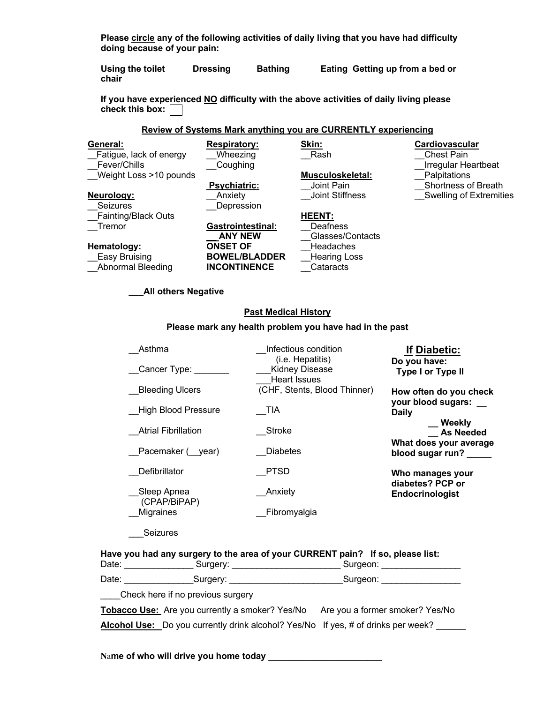**Please circle any of the following activities of daily living that you have had difficulty doing because of your pain:**

**Using the toilet Dressing Bathing Eating Getting up from a bed or chair**

**If you have experienced NO difficulty with the above activities of daily living please check this box:** 

## **Review of Systems Mark anything you are CURRENTLY experiencing**

| <b>Respiratory:</b>      |                         | Cardiovascular                 |
|--------------------------|-------------------------|--------------------------------|
| Wheezing                 | Rash                    | <b>Chest Pain</b>              |
| Coughing                 |                         | Irregular Heartbeat            |
|                          | <b>Musculoskeletal:</b> | Palpitations                   |
| <b>Psychiatric:</b>      | Joint Pain              | <b>Shortness of Breath</b>     |
| Anxiety                  | <b>Joint Stiffness</b>  | <b>Swelling of Extremities</b> |
| Depression               |                         |                                |
|                          | <b>HEENT:</b>           |                                |
| <b>Gastrointestinal:</b> | Deafness                |                                |
| <b>ANY NEW</b>           | Glasses/Contacts        |                                |
| <b>ONSET OF</b>          | Headaches               |                                |
| <b>BOWEL/BLADDER</b>     | <b>Hearing Loss</b>     |                                |
| <b>INCONTINENCE</b>      | Cataracts               |                                |
|                          |                         | Skin:                          |

**\_\_\_All others Negative** 

## **Past Medical History**

## **Please mark any health problem you have had in the past**

| Asthma<br>Cancer Type:      | Infectious condition<br>(i.e. Hepatitis)<br><b>Kidney Disease</b><br><b>Heart Issues</b> | If Diabetic:<br>Do you have:<br>Type I or Type II |
|-----------------------------|------------------------------------------------------------------------------------------|---------------------------------------------------|
| <b>Bleeding Ulcers</b>      | (CHF, Stents, Blood Thinner)                                                             | How often do you check<br>your blood sugars:      |
| <b>High Blood Pressure</b>  | TIA                                                                                      | Daily<br>Weekly                                   |
| <b>Atrial Fibrillation</b>  | Stroke                                                                                   | <b>As Needed</b><br>What does your average        |
| Pacemaker (year)            | <b>Diabetes</b>                                                                          | blood sugar run?                                  |
| Defibrillator               | <b>PTSD</b>                                                                              | Who manages your<br>diabetes? PCP or              |
| Sleep Apnea<br>(CPAP/BiPAP) | Anxiety                                                                                  | <b>Endocrinologist</b>                            |
| Migraines                   | Fibromyalgia                                                                             |                                                   |
| <b>Seizures</b>             |                                                                                          |                                                   |

| Have you had any surgery to the area of your CURRENT pain? If so, please list: |  |  |  |
|--------------------------------------------------------------------------------|--|--|--|
|--------------------------------------------------------------------------------|--|--|--|

Date: \_\_\_\_\_\_\_\_\_\_\_\_\_\_\_\_\_\_Surgery: \_\_\_\_\_\_\_\_\_\_\_\_\_\_\_\_\_\_\_\_\_\_\_\_\_\_\_\_\_\_Surgeon: \_\_\_\_\_\_\_\_\_\_\_\_\_\_\_ Date: Surgery: Example 3 Surgery: Example 2 Surgeon:  $\mathsf{Surgeon}$ :

\_\_\_\_Check here if no previous surgery

**Tobacco Use:** Are you currently a smoker? Yes/No Are you a former smoker? Yes/No Alcohol Use: Do you currently drink alcohol? Yes/No If yes, # of drinks per week?

**N**a**me of who will drive you home today \_\_\_\_\_\_\_\_\_\_\_\_\_\_\_\_\_\_\_\_\_\_\_**